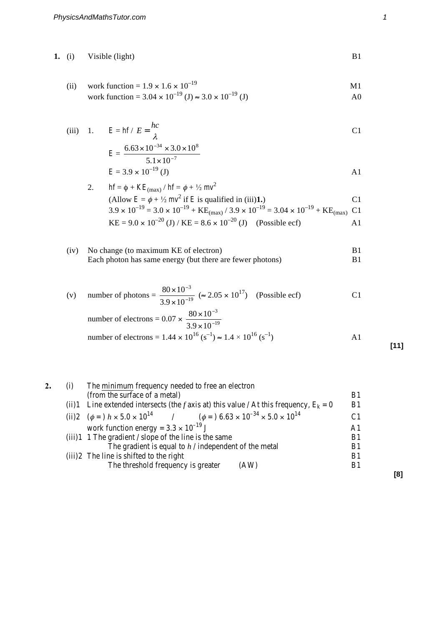## **1.** (i) Visible (light) B1

(ii) work function = 
$$
1.9 \times 1.6 \times 10^{-19}
$$
 M1

work function = 
$$
3.04 \times 10^{-19}
$$
 (J)  $\approx 3.0 \times 10^{-19}$  (J)

(iii) 1. 
$$
E = hf / E = \frac{hc}{\lambda}
$$
 C1

$$
E = \frac{6.63 \times 10^{-34} \times 3.0 \times 10^8}{5.1 \times 10^{-7}}
$$
  

$$
E = 3.9 \times 10^{-19} \text{ (J)}
$$

2. 
$$
hf = \phi + KE_{(max)} / hf = \phi + \frac{1}{2} mv^2
$$
  
\n(Allow  $E = \phi + \frac{1}{2} mv^2$  if *E* is qualified in (iii)**1.**)  
\n3.9 × 10<sup>-19</sup> = 3.0 × 10<sup>-19</sup> + KE<sub>(max)</sub> / 3.9 × 10<sup>-19</sup> = 3.04 × 10<sup>-19</sup> + KE<sub>(max)</sub> C1  
\nKE = 9.0 × 10<sup>-20</sup> (J) / KE = 8.6 × 10<sup>-20</sup> (J) (Possible ecf) A1

(iv) No change (to maximum KE of electron) B1 Each photon has same energy (but there are fewer photons) B1

(v) number of photons = 
$$
\frac{80 \times 10^{-3}}{3.9 \times 10^{-19}}
$$
 ( $\approx 2.05 \times 10^{17}$ ) (Possible ecf)  
number of electrons = 0.07 x  $\times 80 \times 10^{-3}$ 

number of electrons = 
$$
0.07 \times \frac{60 \times 10}{3.9 \times 10^{-19}}
$$
  
number of electrons =  $1.44 \times 10^{16} (s^{-1}) \approx 1.4 \times 10^{16} (s^{-1})$  A1

**2.** (i) The minimum frequency needed to free an electron  $($ from the surface of a metal $)$  B1 (ii)1 Line extended intersects (the *f* axis at) this value / At this frequency,  $E_k = 0$  B1 (ii)2  $(\phi =) h \times 5.0 \times 10^{14}$  $(\phi =) 6.63 \times 10^{-34} \times 5.0 \times 10^{14}$  C1 work function energy =  $3.3 \times 10^{-19}$  J<br>1 The gradient / slope of the line is the same B1 (iii)1 1 The gradient / slope of the line is the same B1<br>The gradient is equal to  $h$  / independent of the metal B1 The gradient is equal to  $h /$  independent of the metal B1 and is shifted to the right B1  $(iii)2$  The line is shifted to the right The threshold frequency is greater (AW) B1

**[8]**

**[11]**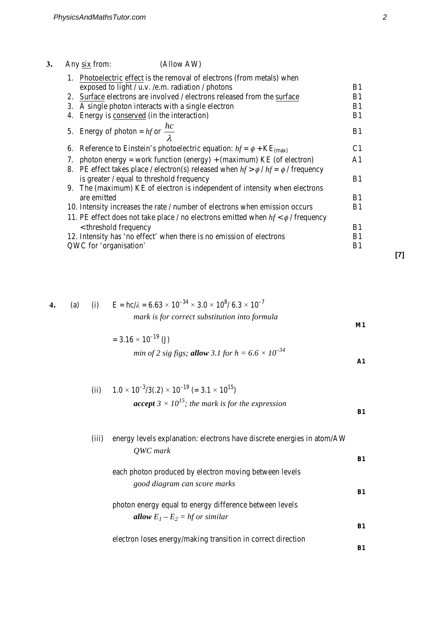|             | (Allow AW)<br>Any six from:                                                           |                |
|-------------|---------------------------------------------------------------------------------------|----------------|
| $1_{\cdot}$ | Photoelectric effect is the removal of electrons (from metals) when                   |                |
|             | exposed to light / $u.v.$ /e.m. radiation / photons                                   | B1             |
| 2.          | Surface electrons are involved / electrons released from the surface                  | B1             |
| 3.          | A single photon interacts with a single electron                                      | B1             |
| 4.          | Energy is conserved (in the interaction)                                              | B1             |
|             | 5. Energy of photon = $hf$ or $\frac{hc}{\lambda}$                                    | B <sub>1</sub> |
|             | 6. Reference to Einstein's photoelectric equation: $hf = \phi + KE_{(max)}$           | C <sub>1</sub> |
|             | 7. photon energy = work function (energy) + (maximum) KE (of electron)                | A <sub>1</sub> |
| 8.          | PE effect takes place / electron(s) released when $hf > \phi / hf = \phi /$ frequency |                |
|             | is greater / equal to threshold frequency                                             | B <sub>1</sub> |
|             | 9. The (maximum) KE of electron is independent of intensity when electrons            |                |
|             | are emitted                                                                           | B <sub>1</sub> |
|             | 10. Intensity increases the rate / number of electrons when emission occurs           | B1             |
|             | 11. PE effect does not take place / no electrons emitted when $hf < \phi$ / frequency |                |
|             | < threshold frequency                                                                 | B <sub>1</sub> |
|             | 12. Intensity has 'no effect' when there is no emission of electrons                  | B1             |
|             | QWC for 'organisation'                                                                | B1             |

4. (a) (i) 
$$
E = hc/\lambda = 6.63 \times 10^{-34} \times 3.0 \times 10^8 / 6.3 \times 10^{-7}
$$
  
mark is for correct substitution into formula

$$
= 3.16 \times 10^{-19} \text{ (J)}
$$
  
min of 2 sig figs; **allow** 3.1 for h = 6.6 × 10<sup>-34</sup> A1

(ii) 
$$
1.0 \times 10^{-3} / 3(.2) \times 10^{-19} (= 3.1 \times 10^{15})
$$
  
**accept**  $3 \times 10^{15}$ ; the mark is for the expression

| (iii) | energy levels explanation: electrons have discrete energies in atom/AW |    |  |
|-------|------------------------------------------------------------------------|----|--|
|       | QWC mark                                                               | B1 |  |
|       | each photon produced by electron moving between levels                 |    |  |
|       | good diagram can score marks                                           | B1 |  |
|       | photon energy equal to energy difference between levels                |    |  |
|       | <b>allow</b> $E_1 - E_2 = hf$ or similar                               |    |  |
|       |                                                                        | B1 |  |
|       | electron loses energy/making transition in correct direction           | B1 |  |
|       |                                                                        |    |  |

**[7]**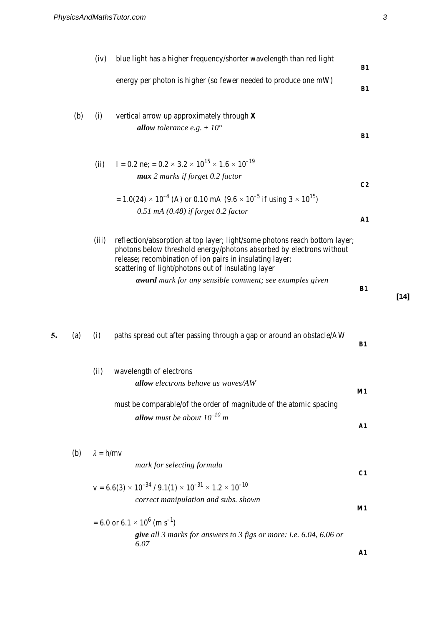|    |     | (iv)             | blue light has a higher frequency/shorter wavelength than red light                                                                                                                                                                                                   | B1             |  |
|----|-----|------------------|-----------------------------------------------------------------------------------------------------------------------------------------------------------------------------------------------------------------------------------------------------------------------|----------------|--|
|    |     |                  | energy per photon is higher (so fewer needed to produce one mW)                                                                                                                                                                                                       | B1             |  |
|    | (b) | (i)              | vertical arrow up approximately through $X$                                                                                                                                                                                                                           |                |  |
|    |     |                  | allow tolerance e.g. $\pm 10^{\circ}$                                                                                                                                                                                                                                 | B1             |  |
|    |     | (ii)             | I = 0.2 ne; = $0.2 \times 3.2 \times 10^{15} \times 1.6 \times 10^{-19}$                                                                                                                                                                                              |                |  |
|    |     |                  | max 2 marks if forget 0.2 factor                                                                                                                                                                                                                                      | C <sub>2</sub> |  |
|    |     |                  | $= 1.0(24) \times 10^{-4}$ (A) or 0.10 mA (9.6 $\times$ 10 <sup>-5</sup> if using 3 $\times$ 10 <sup>15</sup> )                                                                                                                                                       |                |  |
|    |     |                  | $0.51$ mA (0.48) if forget 0.2 factor                                                                                                                                                                                                                                 | ${\bf A1}$     |  |
|    |     | (iii)            | reflection/absorption at top layer; light/some photons reach bottom layer;<br>photons below threshold energy/photons absorbed by electrons without<br>release; recombination of ion pairs in insulating layer;<br>scattering of light/photons out of insulating layer |                |  |
|    |     |                  | award mark for any sensible comment; see examples given                                                                                                                                                                                                               | B1<br>$[14]$   |  |
| 5. | (a) | (i)              | paths spread out after passing through a gap or around an obstacle/AW                                                                                                                                                                                                 | B1             |  |
|    |     | (ii)             | wavelength of electrons                                                                                                                                                                                                                                               |                |  |
|    |     |                  | <b>allow</b> electrons behave as waves/AW                                                                                                                                                                                                                             | M1             |  |
|    |     |                  | must be comparable/of the order of magnitude of the atomic spacing<br><b>allow</b> must be about $10^{-10}$ m                                                                                                                                                         |                |  |
|    |     |                  |                                                                                                                                                                                                                                                                       | ${\bf A1}$     |  |
|    | (b) | $\lambda = h/mv$ |                                                                                                                                                                                                                                                                       |                |  |
|    |     |                  | mark for selecting formula                                                                                                                                                                                                                                            | C1             |  |
|    |     |                  | $v = 6.6(3) \times 10^{-34} / 9.1(1) \times 10^{-31} \times 1.2 \times 10^{-10}$<br>correct manipulation and subs. shown                                                                                                                                              |                |  |
|    |     |                  |                                                                                                                                                                                                                                                                       | M1             |  |
|    |     |                  | $= 6.0$ or 6.1 $\times$ 10 <sup>6</sup> (m s <sup>-1</sup> )<br>give all 3 marks for answers to 3 figs or more: i.e. 6.04, 6.06 or                                                                                                                                    |                |  |
|    |     |                  | 6.07                                                                                                                                                                                                                                                                  | ${\bf A1}$     |  |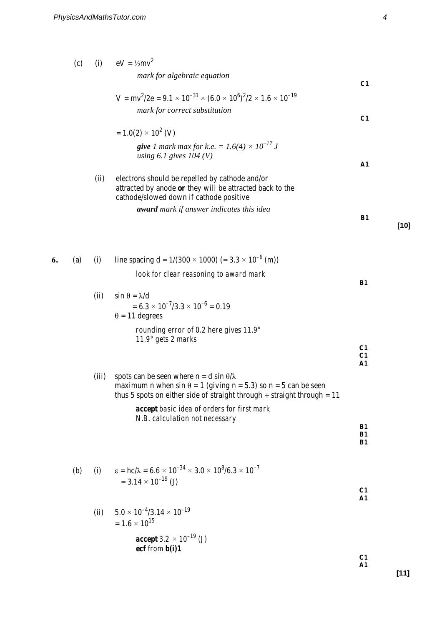|    | (c) |       | (i) $eV = \frac{1}{2}mv^2$                                                                                                                                                                                    |                        |
|----|-----|-------|---------------------------------------------------------------------------------------------------------------------------------------------------------------------------------------------------------------|------------------------|
|    |     |       | mark for algebraic equation                                                                                                                                                                                   | C1                     |
|    |     |       | $V = mv^2/2e = 9.1 \times 10^{-31} \times (6.0 \times 10^6)^2/2 \times 1.6 \times 10^{-19}$                                                                                                                   |                        |
|    |     |       | mark for correct substitution                                                                                                                                                                                 | C1                     |
|    |     |       | $= 1.0(2) \times 10^{2}$ (V)                                                                                                                                                                                  |                        |
|    |     |       | <b>give</b> 1 mark max for k.e. = $1.6(4) \times 10^{-17}$ J<br>using 6.1 gives $104 (V)$                                                                                                                     | ${\bf A1}$             |
|    |     | (ii)  | electrons should be repelled by cathode and/or<br>attracted by anode or they will be attracted back to the<br>cathode/slowed down if cathode positive                                                         |                        |
|    |     |       | award mark if answer indicates this idea                                                                                                                                                                      | B1                     |
| 6. | (a) | (i)   | line spacing $d = 1/(300 \times 1000) (= 3.3 \times 10^{-6}$ (m))                                                                                                                                             |                        |
|    |     |       | look for clear reasoning to award mark                                                                                                                                                                        | B1                     |
|    |     | (ii)  | $\sin \theta = \lambda/d$<br>$= 6.3 \times 10^{-7} / 3.3 \times 10^{-6} = 0.19$<br>$\theta = 11$ degrees                                                                                                      |                        |
|    |     |       | rounding error of 0.2 here gives $11.9^\circ$<br>$11.9^\circ$ gets 2 marks                                                                                                                                    |                        |
|    |     |       |                                                                                                                                                                                                               | C1<br>C1<br>${\bf A1}$ |
|    |     | (iii) | spots can be seen where $n = d \sin \theta / \lambda$<br>maximum n when $sin \theta = 1$ (giving n = 5.3) so n = 5 can be seen<br>thus 5 spots on either side of straight through $+$ straight through $= 11$ |                        |
|    |     |       | accept basic idea of orders for first mark<br>N.B. calculation not necessary                                                                                                                                  |                        |
|    |     |       |                                                                                                                                                                                                               | <b>B1</b><br>B1<br>B1  |
|    | (b) | (i)   | $\epsilon = hc/\lambda = 6.6 \times 10^{-34} \times 3.0 \times 10^8 / 6.3 \times 10^{-7}$<br>$= 3.14 \times 10^{-19}$ (J)                                                                                     | C1                     |
|    |     |       |                                                                                                                                                                                                               | ${\bf A1}$             |
|    |     | (ii)  | $5.0 \times 10^{-4}/3.14 \times 10^{-19}$<br>$= 1.6 \times 10^{15}$                                                                                                                                           |                        |
|    |     |       | <b>accept</b> 3.2 $\times$ 10 <sup>-19</sup> (J)                                                                                                                                                              |                        |
|    |     |       | ecf from b(i)1                                                                                                                                                                                                | C1<br>${\bf A1}$       |
|    |     |       |                                                                                                                                                                                                               |                        |

**[10]**

**[11]**